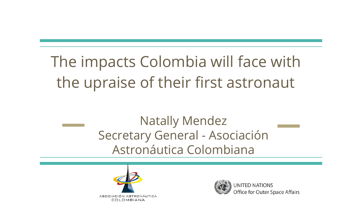# The impacts Colombia will face with the upraise of their first astronaut

### Natally Mendez Secretary General - Asociación Astronáutica Colombiana





Office for Outer Space Affairs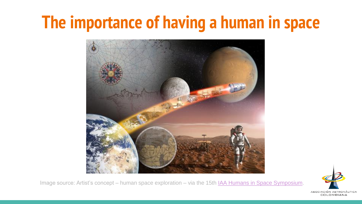# **The importance of having a human in space**



Image source: Artist's concept – human space exploration – via the 15th [IAA Humans in Space Symposium.](http://physiologie.cc/committees.htm)

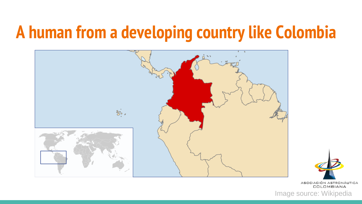# **A human from a developing country like Colombia**



ASOCIACIÓN ASTRONÁUTICA COLOMBIANA

Image source: Wikipedia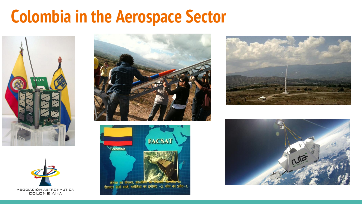# **Colombia in the Aerospace Sector**











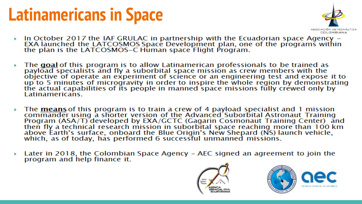# **Latinamericans in Space**



- In October 2017 the IAF GRULAC in partnership with the Ecuadorian space Agency –<br>EXA launched the LATCOSMOS Space Development plan, one of the programs within<br>the plan is the LATCOSMOS–C Human space Flight Program.
- The goal of this program is to allow Latinamerican professionals to be trained as<br>payload specialists and fly a suborbital space mission as crew members with the<br>objective of operate an experiment of science or an engineer Latinamericans
- The means of this program is to train a crew of 4 payload specialist and 1 mission<br>commander using a shorter version of the Advanced Suborbital Astronaut Training<br>Program (ASA/T) developed by EXA/GCTC (Gagarin Cosmonaut Tr then fly a technical research mission in suborbital space reaching more than 100 km<br>above Earth's surface, onboard the Blue Origin's New Shepard (NS) launch vehicle,<br>which, as of today, has performed 6 successful unmanned
- Later in 2018, the Colombian Space Agency AEC signed an agreement to join the program and help finance it.



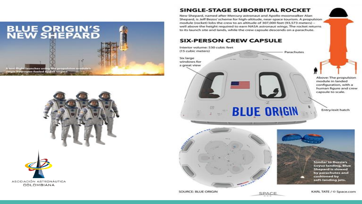



ASOCIACIÓN ASTRONÁUTICA COLOMBIANA

#### **SINGLE-STAGE SUBORBITAL ROCKET**

New Shepard, named after Mercury astronaut and Apollo moonwalker Alan Shepard, is Jeff Bezos' scheme for high-altitude, near-space tourism. A propulsion module (rocket) lobs the crew to an altitude of 307,000 feet (93.573 meters) well above the height required to earn NASA astronaut wings. The rocket returns to its launch site and lands, while the crew capsule descends on a parachute.

#### **SIX-PERSON CREW CAPSULE**

Interior volume: 530 cubic feet (15 cubic meters)

Six large windows for a great view

Above: The propulsion

Parachutes

module in landed configuration, with a human figure and crew capsule to scale.

Entry/exit hatch



**Similar to Russia's Soyuz landing, Blue Shepard is slowed** by parachutes and cushioned by soft-landing jets.

SOURCE: BLUE ORIGIN



**BLUE ORIGIN**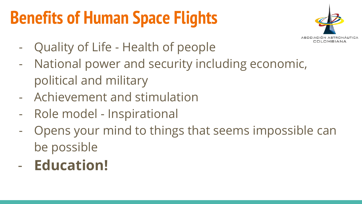# **Benefits of Human Space Flights**



- Quality of Life Health of people
- National power and security including economic, political and military
- Achievement and stimulation
- Role model Inspirational
- Opens your mind to things that seems impossible can be possible
- **Education!**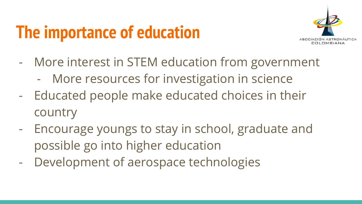# **The importance of education**



- More interest in STEM education from government
	- More resources for investigation in science
- Educated people make educated choices in their country
- Encourage youngs to stay in school, graduate and possible go into higher education
- Development of aerospace technologies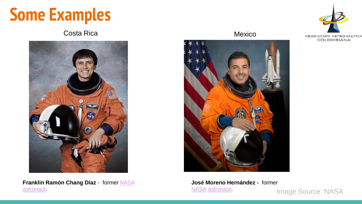# **Some Examples**

### Costa Rica **Mexico** Mexico



**Franklin Ramón Chang Díaz** - former [NASA](https://en.wikipedia.org/wiki/NASA) [astronaut](https://en.wikipedia.org/wiki/Astronaut).





**José Moreno Hernández -** former [NASA](https://en.wikipedia.org/wiki/NASA) [astronaut.](https://en.wikipedia.org/wiki/Astronaut)

Image Source: NASA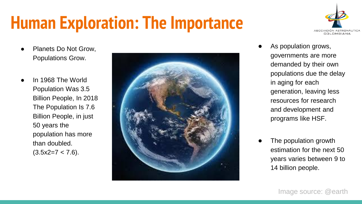# **Human Exploration: The Importance**



- Planets Do Not Grow. Populations Grow.
- In 1968 The World Population Was 3.5 Billion People, In 2018 The Population Is 7.6 Billion People, in just 50 years the population has more than doubled.  $(3.5x2=7 < 7.6)$ .



- As population grows, governments are more demanded by their own populations due the delay in aging for each generation, leaving less resources for research and development and programs like HSF.
- The population growth estimation for the next 50 years varies between 9 to 14 billion people.